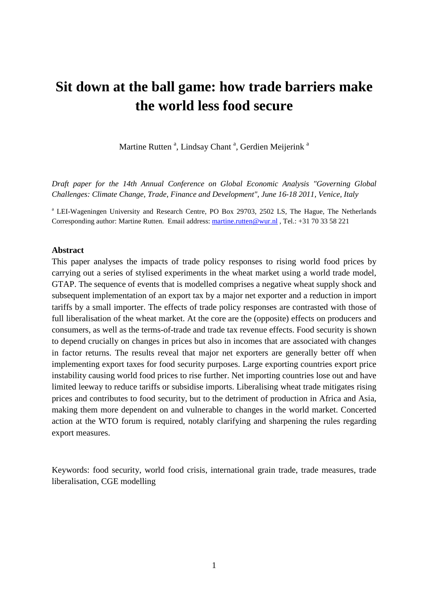# **Sit down at the ball game: how trade barriers make the world less food secure**

Martine Rutten<sup>a</sup>, Lindsay Chant<sup>a</sup>, Gerdien Meijerink<sup>a</sup>

*Draft paper for the 14th Annual Conference on Global Economic Analysis "Governing Global Challenges: Climate Change, Trade, Finance and Development", June 16-18 2011, Venice, Italy* 

<sup>a</sup> LEI-Wageningen University and Research Centre, PO Box 29703, 2502 LS, The Hague, The Netherlands Corresponding author: Martine Rutten. Email address: martine.rutten@wur.nl , Tel.: +31 70 33 58 221

#### **Abstract**

This paper analyses the impacts of trade policy responses to rising world food prices by carrying out a series of stylised experiments in the wheat market using a world trade model, GTAP. The sequence of events that is modelled comprises a negative wheat supply shock and subsequent implementation of an export tax by a major net exporter and a reduction in import tariffs by a small importer. The effects of trade policy responses are contrasted with those of full liberalisation of the wheat market. At the core are the (opposite) effects on producers and consumers, as well as the terms-of-trade and trade tax revenue effects. Food security is shown to depend crucially on changes in prices but also in incomes that are associated with changes in factor returns. The results reveal that major net exporters are generally better off when implementing export taxes for food security purposes. Large exporting countries export price instability causing world food prices to rise further. Net importing countries lose out and have limited leeway to reduce tariffs or subsidise imports. Liberalising wheat trade mitigates rising prices and contributes to food security, but to the detriment of production in Africa and Asia, making them more dependent on and vulnerable to changes in the world market. Concerted action at the WTO forum is required, notably clarifying and sharpening the rules regarding export measures.

Keywords: food security, world food crisis, international grain trade, trade measures, trade liberalisation, CGE modelling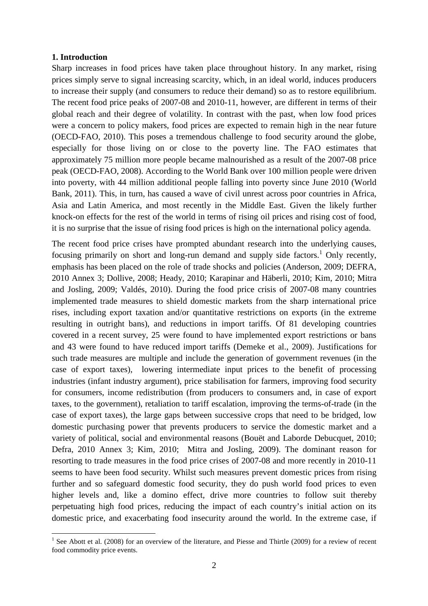#### **1. Introduction**

 $\overline{a}$ 

Sharp increases in food prices have taken place throughout history. In any market, rising prices simply serve to signal increasing scarcity, which, in an ideal world, induces producers to increase their supply (and consumers to reduce their demand) so as to restore equilibrium. The recent food price peaks of 2007-08 and 2010-11, however, are different in terms of their global reach and their degree of volatility. In contrast with the past, when low food prices were a concern to policy makers, food prices are expected to remain high in the near future (OECD-FAO, 2010). This poses a tremendous challenge to food security around the globe, especially for those living on or close to the poverty line. The FAO estimates that approximately 75 million more people became malnourished as a result of the 2007-08 price peak (OECD-FAO, 2008). According to the World Bank over 100 million people were driven into poverty, with 44 million additional people falling into poverty since June 2010 (World Bank, 2011). This, in turn, has caused a wave of civil unrest across poor countries in Africa, Asia and Latin America, and most recently in the Middle East. Given the likely further knock-on effects for the rest of the world in terms of rising oil prices and rising cost of food, it is no surprise that the issue of rising food prices is high on the international policy agenda.

The recent food price crises have prompted abundant research into the underlying causes, focusing primarily on short and long-run demand and supply side factors.<sup>1</sup> Only recently, emphasis has been placed on the role of trade shocks and policies (Anderson, 2009; DEFRA, 2010 Annex 3; Dollive, 2008; Heady, 2010; Karapinar and Häberli, 2010; Kim, 2010; Mitra and Josling, 2009; Valdés, 2010). During the food price crisis of 2007-08 many countries implemented trade measures to shield domestic markets from the sharp international price rises, including export taxation and/or quantitative restrictions on exports (in the extreme resulting in outright bans), and reductions in import tariffs. Of 81 developing countries covered in a recent survey, 25 were found to have implemented export restrictions or bans and 43 were found to have reduced import tariffs (Demeke et al., 2009). Justifications for such trade measures are multiple and include the generation of government revenues (in the case of export taxes), lowering intermediate input prices to the benefit of processing industries (infant industry argument), price stabilisation for farmers, improving food security for consumers, income redistribution (from producers to consumers and, in case of export taxes, to the government), retaliation to tariff escalation, improving the terms-of-trade (in the case of export taxes), the large gaps between successive crops that need to be bridged, low domestic purchasing power that prevents producers to service the domestic market and a variety of political, social and environmental reasons (Bouët and Laborde Debucquet, 2010; Defra, 2010 Annex 3; Kim, 2010; Mitra and Josling, 2009). The dominant reason for resorting to trade measures in the food price crises of 2007-08 and more recently in 2010-11 seems to have been food security. Whilst such measures prevent domestic prices from rising further and so safeguard domestic food security, they do push world food prices to even higher levels and, like a domino effect, drive more countries to follow suit thereby perpetuating high food prices, reducing the impact of each country's initial action on its domestic price, and exacerbating food insecurity around the world. In the extreme case, if

<sup>&</sup>lt;sup>1</sup> See Abott et al. (2008) for an overview of the literature, and Piesse and Thirtle (2009) for a review of recent food commodity price events.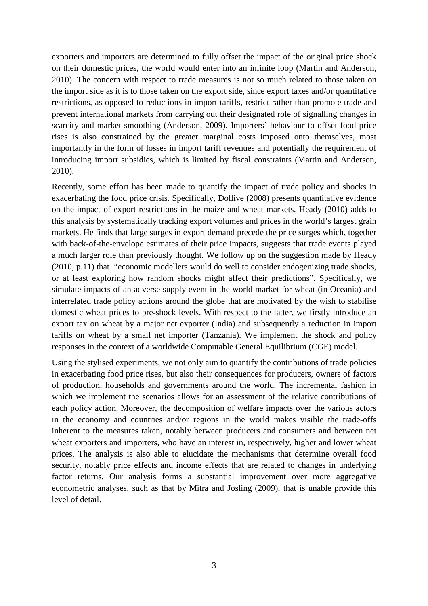exporters and importers are determined to fully offset the impact of the original price shock on their domestic prices, the world would enter into an infinite loop (Martin and Anderson, 2010). The concern with respect to trade measures is not so much related to those taken on the import side as it is to those taken on the export side, since export taxes and/or quantitative restrictions, as opposed to reductions in import tariffs, restrict rather than promote trade and prevent international markets from carrying out their designated role of signalling changes in scarcity and market smoothing (Anderson, 2009). Importers' behaviour to offset food price rises is also constrained by the greater marginal costs imposed onto themselves, most importantly in the form of losses in import tariff revenues and potentially the requirement of introducing import subsidies, which is limited by fiscal constraints (Martin and Anderson, 2010).

Recently, some effort has been made to quantify the impact of trade policy and shocks in exacerbating the food price crisis. Specifically, Dollive (2008) presents quantitative evidence on the impact of export restrictions in the maize and wheat markets. Heady (2010) adds to this analysis by systematically tracking export volumes and prices in the world's largest grain markets. He finds that large surges in export demand precede the price surges which, together with back-of-the-envelope estimates of their price impacts, suggests that trade events played a much larger role than previously thought. We follow up on the suggestion made by Heady (2010, p.11) that "economic modellers would do well to consider endogenizing trade shocks, or at least exploring how random shocks might affect their predictions". Specifically, we simulate impacts of an adverse supply event in the world market for wheat (in Oceania) and interrelated trade policy actions around the globe that are motivated by the wish to stabilise domestic wheat prices to pre-shock levels. With respect to the latter, we firstly introduce an export tax on wheat by a major net exporter (India) and subsequently a reduction in import tariffs on wheat by a small net importer (Tanzania). We implement the shock and policy responses in the context of a worldwide Computable General Equilibrium (CGE) model.

Using the stylised experiments, we not only aim to quantify the contributions of trade policies in exacerbating food price rises, but also their consequences for producers, owners of factors of production, households and governments around the world. The incremental fashion in which we implement the scenarios allows for an assessment of the relative contributions of each policy action. Moreover, the decomposition of welfare impacts over the various actors in the economy and countries and/or regions in the world makes visible the trade-offs inherent to the measures taken, notably between producers and consumers and between net wheat exporters and importers, who have an interest in, respectively, higher and lower wheat prices. The analysis is also able to elucidate the mechanisms that determine overall food security, notably price effects and income effects that are related to changes in underlying factor returns. Our analysis forms a substantial improvement over more aggregative econometric analyses, such as that by Mitra and Josling (2009), that is unable provide this level of detail.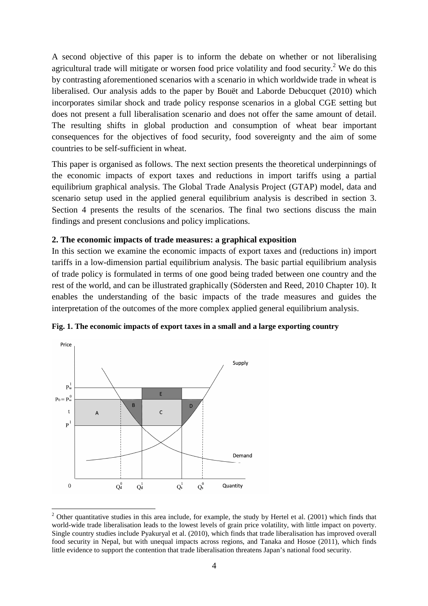A second objective of this paper is to inform the debate on whether or not liberalising agricultural trade will mitigate or worsen food price volatility and food security.<sup>2</sup> We do this by contrasting aforementioned scenarios with a scenario in which worldwide trade in wheat is liberalised. Our analysis adds to the paper by Bouët and Laborde Debucquet (2010) which incorporates similar shock and trade policy response scenarios in a global CGE setting but does not present a full liberalisation scenario and does not offer the same amount of detail. The resulting shifts in global production and consumption of wheat bear important consequences for the objectives of food security, food sovereignty and the aim of some countries to be self-sufficient in wheat.

This paper is organised as follows. The next section presents the theoretical underpinnings of the economic impacts of export taxes and reductions in import tariffs using a partial equilibrium graphical analysis. The Global Trade Analysis Project (GTAP) model, data and scenario setup used in the applied general equilibrium analysis is described in section 3. Section 4 presents the results of the scenarios. The final two sections discuss the main findings and present conclusions and policy implications.

### **2. The economic impacts of trade measures: a graphical exposition**

In this section we examine the economic impacts of export taxes and (reductions in) import tariffs in a low-dimension partial equilibrium analysis. The basic partial equilibrium analysis of trade policy is formulated in terms of one good being traded between one country and the rest of the world, and can be illustrated graphically (Södersten and Reed, 2010 Chapter 10). It enables the understanding of the basic impacts of the trade measures and guides the interpretation of the outcomes of the more complex applied general equilibrium analysis.



**Fig. 1. The economic impacts of export taxes in a small and a large exporting country** 

<sup>&</sup>lt;sup>2</sup> Other quantitative studies in this area include, for example, the study by Hertel et al. (2001) which finds that world-wide trade liberalisation leads to the lowest levels of grain price volatility, with little impact on poverty. Single country studies include Pyakuryal et al. (2010), which finds that trade liberalisation has improved overall food security in Nepal, but with unequal impacts across regions, and Tanaka and Hosoe (2011), which finds little evidence to support the contention that trade liberalisation threatens Japan's national food security.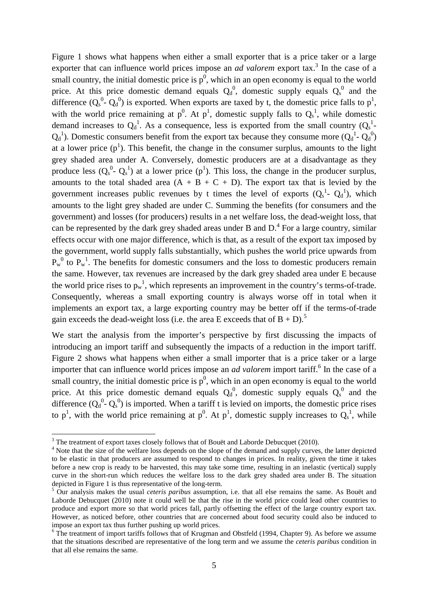Figure 1 shows what happens when either a small exporter that is a price taker or a large exporter that can influence world prices impose an *ad valorem* export tax.<sup>3</sup> In the case of a small country, the initial domestic price is  $p^0$ , which in an open economy is equal to the world price. At this price domestic demand equals  $Q_d^0$ , domestic supply equals  $Q_s^0$  and the difference  $(Q_s^0 - Q_d^0)$  is exported. When exports are taxed by t, the domestic price falls to  $p^1$ , with the world price remaining at  $p^0$ . At  $p^1$ , domestic supply falls to  $Q_s^1$ , while domestic demand increases to  $Q_d^1$ . As a consequence, less is exported from the small country  $(Q_s^1$ - $Q_d^1$ ). Domestic consumers benefit from the export tax because they consume more  $(Q_d^1 - Q_d^0)$ at a lower price  $(p<sup>1</sup>)$ . This benefit, the change in the consumer surplus, amounts to the light grey shaded area under A. Conversely, domestic producers are at a disadvantage as they produce less  $(Q_s^0 - Q_s^1)$  at a lower price  $(p^1)$ . This loss, the change in the producer surplus, amounts to the total shaded area  $(A + B + C + D)$ . The export tax that is levied by the government increases public revenues by t times the level of exports  $(Q_s^1 - Q_d^1)$ , which amounts to the light grey shaded are under C. Summing the benefits (for consumers and the government) and losses (for producers) results in a net welfare loss, the dead-weight loss, that can be represented by the dark grey shaded areas under B and  $D^4$ . For a large country, similar effects occur with one major difference, which is that, as a result of the export tax imposed by the government, world supply falls substantially, which pushes the world price upwards from  $P_w^0$  to  $P_w^1$ . The benefits for domestic consumers and the loss to domestic producers remain the same. However, tax revenues are increased by the dark grey shaded area under E because the world price rises to  $p_w^1$ , which represents an improvement in the country's terms-of-trade. Consequently, whereas a small exporting country is always worse off in total when it implements an export tax, a large exporting country may be better off if the terms-of-trade gain exceeds the dead-weight loss (i.e. the area E exceeds that of  $B + D$ ).<sup>5</sup>

We start the analysis from the importer's perspective by first discussing the impacts of introducing an import tariff and subsequently the impacts of a reduction in the import tariff. Figure 2 shows what happens when either a small importer that is a price taker or a large importer that can influence world prices impose an *ad valorem* import tariff.<sup>6</sup> In the case of a small country, the initial domestic price is  $p^0$ , which in an open economy is equal to the world price. At this price domestic demand equals  $Q_d^0$ , domestic supply equals  $Q_s^0$  and the difference  $(Q_d^0 - Q_s^0)$  is imported. When a tariff t is levied on imports, the domestic price rises to  $p^1$ , with the world price remaining at  $p^0$ . At  $p^1$ , domestic supply increases to  $Q_s^1$ , while

<sup>&</sup>lt;sup>3</sup> The treatment of export taxes closely follows that of Bouët and Laborde Debucquet (2010).

<sup>&</sup>lt;sup>4</sup> Note that the size of the welfare loss depends on the slope of the demand and supply curves, the latter depicted to be elastic in that producers are assumed to respond to changes in prices. In reality, given the time it takes before a new crop is ready to be harvested, this may take some time, resulting in an inelastic (vertical) supply curve in the short-run which reduces the welfare loss to the dark grey shaded area under B. The situation depicted in Figure 1 is thus representative of the long-term.

<sup>5</sup> Our analysis makes the usual *ceteris paribus* assumption, i.e. that all else remains the same. As Bouët and Laborde Debucquet (2010) note it could well be that the rise in the world price could lead other countries to produce and export more so that world prices fall, partly offsetting the effect of the large country export tax. However, as noticed before, other countries that are concerned about food security could also be induced to impose an export tax thus further pushing up world prices.

<sup>&</sup>lt;sup>6</sup> The treatment of import tariffs follows that of Krugman and Obstfeld (1994, Chapter 9). As before we assume that the situations described are representative of the long term and we assume the *ceteris paribus* condition in that all else remains the same.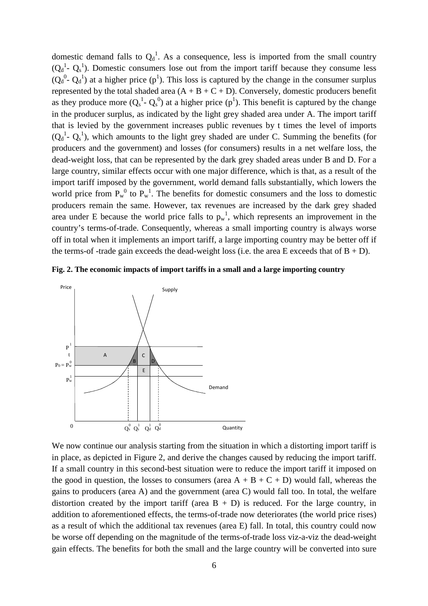domestic demand falls to  $Q_d^1$ . As a consequence, less is imported from the small country  $(Q_d^1 - Q_s^1)$ . Domestic consumers lose out from the import tariff because they consume less  $(Q_d^0$ -  $Q_d^1)$  at a higher price  $(p^1)$ . This loss is captured by the change in the consumer surplus represented by the total shaded area  $(A + B + C + D)$ . Conversely, domestic producers benefit as they produce more  $(Q_s^1 - Q_s^0)$  at a higher price  $(p^1)$ . This benefit is captured by the change in the producer surplus, as indicated by the light grey shaded area under A. The import tariff that is levied by the government increases public revenues by t times the level of imports  $(Q_d^1 - Q_s^1)$ , which amounts to the light grey shaded are under C. Summing the benefits (for producers and the government) and losses (for consumers) results in a net welfare loss, the dead-weight loss, that can be represented by the dark grey shaded areas under B and D. For a large country, similar effects occur with one major difference, which is that, as a result of the import tariff imposed by the government, world demand falls substantially, which lowers the world price from  $P_w^0$  to  $P_w^1$ . The benefits for domestic consumers and the loss to domestic producers remain the same. However, tax revenues are increased by the dark grey shaded area under E because the world price falls to  $p_w^1$ , which represents an improvement in the country's terms-of-trade. Consequently, whereas a small importing country is always worse off in total when it implements an import tariff, a large importing country may be better off if the terms-of-trade gain exceeds the dead-weight loss (i.e. the area E exceeds that of  $B + D$ ).





We now continue our analysis starting from the situation in which a distorting import tariff is in place, as depicted in Figure 2, and derive the changes caused by reducing the import tariff. If a small country in this second-best situation were to reduce the import tariff it imposed on the good in question, the losses to consumers (area  $A + B + C + D$ ) would fall, whereas the gains to producers (area A) and the government (area C) would fall too. In total, the welfare distortion created by the import tariff (area  $B + D$ ) is reduced. For the large country, in addition to aforementioned effects, the terms-of-trade now deteriorates (the world price rises) as a result of which the additional tax revenues (area E) fall. In total, this country could now be worse off depending on the magnitude of the terms-of-trade loss viz-a-viz the dead-weight gain effects. The benefits for both the small and the large country will be converted into sure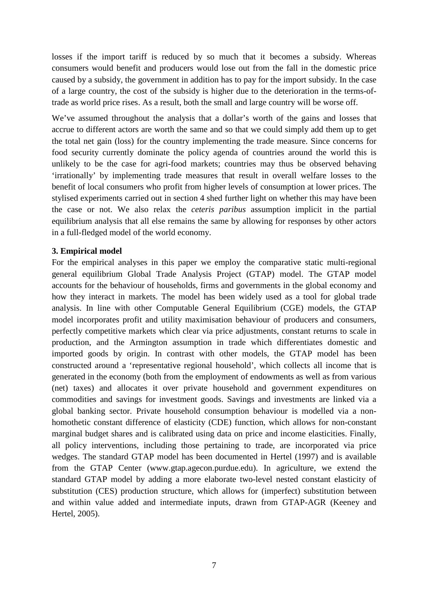losses if the import tariff is reduced by so much that it becomes a subsidy. Whereas consumers would benefit and producers would lose out from the fall in the domestic price caused by a subsidy, the government in addition has to pay for the import subsidy. In the case of a large country, the cost of the subsidy is higher due to the deterioration in the terms-oftrade as world price rises. As a result, both the small and large country will be worse off.

We've assumed throughout the analysis that a dollar's worth of the gains and losses that accrue to different actors are worth the same and so that we could simply add them up to get the total net gain (loss) for the country implementing the trade measure. Since concerns for food security currently dominate the policy agenda of countries around the world this is unlikely to be the case for agri-food markets; countries may thus be observed behaving 'irrationally' by implementing trade measures that result in overall welfare losses to the benefit of local consumers who profit from higher levels of consumption at lower prices. The stylised experiments carried out in section 4 shed further light on whether this may have been the case or not. We also relax the *ceteris paribus* assumption implicit in the partial equilibrium analysis that all else remains the same by allowing for responses by other actors in a full-fledged model of the world economy.

#### **3. Empirical model**

For the empirical analyses in this paper we employ the comparative static multi-regional general equilibrium Global Trade Analysis Project (GTAP) model. The GTAP model accounts for the behaviour of households, firms and governments in the global economy and how they interact in markets. The model has been widely used as a tool for global trade analysis. In line with other Computable General Equilibrium (CGE) models, the GTAP model incorporates profit and utility maximisation behaviour of producers and consumers, perfectly competitive markets which clear via price adjustments, constant returns to scale in production, and the Armington assumption in trade which differentiates domestic and imported goods by origin. In contrast with other models, the GTAP model has been constructed around a 'representative regional household', which collects all income that is generated in the economy (both from the employment of endowments as well as from various (net) taxes) and allocates it over private household and government expenditures on commodities and savings for investment goods. Savings and investments are linked via a global banking sector. Private household consumption behaviour is modelled via a nonhomothetic constant difference of elasticity (CDE) function, which allows for non-constant marginal budget shares and is calibrated using data on price and income elasticities. Finally, all policy interventions, including those pertaining to trade, are incorporated via price wedges. The standard GTAP model has been documented in Hertel (1997) and is available from the GTAP Center (www.gtap.agecon.purdue.edu). In agriculture, we extend the standard GTAP model by adding a more elaborate two-level nested constant elasticity of substitution (CES) production structure, which allows for (imperfect) substitution between and within value added and intermediate inputs, drawn from GTAP-AGR (Keeney and Hertel, 2005).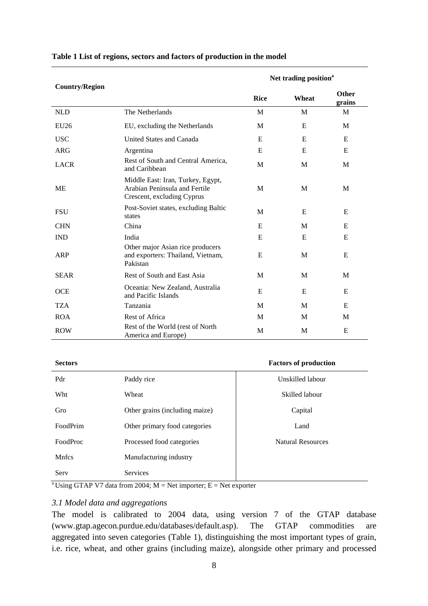|                       |                                                                                                  | Net trading position <sup>a</sup> |       |                 |  |
|-----------------------|--------------------------------------------------------------------------------------------------|-----------------------------------|-------|-----------------|--|
| <b>Country/Region</b> |                                                                                                  | <b>Rice</b>                       | Wheat | Other<br>grains |  |
| <b>NLD</b>            | The Netherlands                                                                                  | M                                 | M     | M               |  |
| <b>EU26</b>           | EU, excluding the Netherlands                                                                    | M                                 | E     | M               |  |
| <b>USC</b>            | United States and Canada                                                                         | E                                 | E     | E               |  |
| <b>ARG</b>            | Argentina                                                                                        | E                                 | E     | E               |  |
| <b>LACR</b>           | Rest of South and Central America,<br>and Caribbean                                              | M                                 | M     | M               |  |
| ME                    | Middle East: Iran, Turkey, Egypt,<br>Arabian Peninsula and Fertile<br>Crescent, excluding Cyprus | M                                 | M     | M               |  |
| <b>FSU</b>            | Post-Soviet states, excluding Baltic<br>states                                                   | M                                 | E     | E               |  |
| <b>CHN</b>            | China                                                                                            | E                                 | M     | E               |  |
| <b>IND</b>            | India                                                                                            | E                                 | E     | E               |  |
| <b>ARP</b>            | Other major Asian rice producers<br>and exporters: Thailand, Vietnam,<br>Pakistan                | E                                 | M     | E               |  |
| <b>SEAR</b>           | Rest of South and East Asia                                                                      | M                                 | M     | M               |  |
| <b>OCE</b>            | Oceania: New Zealand, Australia<br>and Pacific Islands                                           | E                                 | E     | E               |  |
| <b>TZA</b>            | Tanzania                                                                                         | M                                 | M     | E               |  |
| <b>ROA</b>            | Rest of Africa                                                                                   | M                                 | M     | M               |  |
| <b>ROW</b>            | Rest of the World (rest of North<br>America and Europe)                                          | M                                 | M     | E               |  |

#### **Table 1 List of regions, sectors and factors of production in the model**

# **Sectors Factors of production**

| Pdr             | Paddy rice                     | Unskilled labour         |
|-----------------|--------------------------------|--------------------------|
| Wht             | Wheat                          | Skilled labour           |
| Gro             | Other grains (including maize) | Capital                  |
| FoodPrim        | Other primary food categories  | Land                     |
| <b>FoodProc</b> | Processed food categories      | <b>Natural Resources</b> |
| <b>Mnfcs</b>    | Manufacturing industry         |                          |
| Serv            | <b>Services</b>                |                          |

<sup>a</sup>Using GTAP V7 data from 2004; M = Net importer; E = Net exporter

## *3.1 Model data and aggregations*

The model is calibrated to 2004 data, using version 7 of the GTAP database (www.gtap.agecon.purdue.edu/databases/default.asp). The GTAP commodities are aggregated into seven categories (Table 1), distinguishing the most important types of grain, i.e. rice, wheat, and other grains (including maize), alongside other primary and processed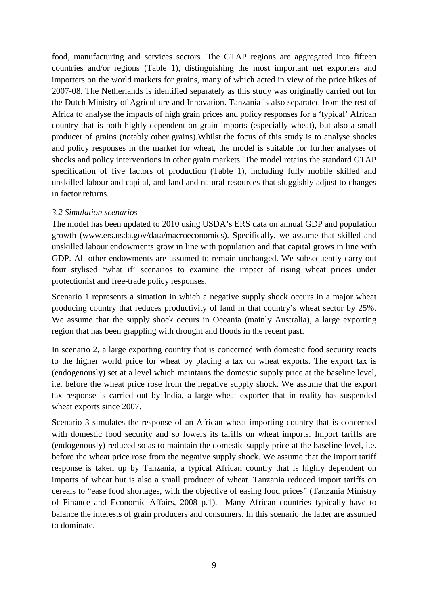food, manufacturing and services sectors. The GTAP regions are aggregated into fifteen countries and/or regions (Table 1), distinguishing the most important net exporters and importers on the world markets for grains, many of which acted in view of the price hikes of 2007-08. The Netherlands is identified separately as this study was originally carried out for the Dutch Ministry of Agriculture and Innovation. Tanzania is also separated from the rest of Africa to analyse the impacts of high grain prices and policy responses for a 'typical' African country that is both highly dependent on grain imports (especially wheat), but also a small producer of grains (notably other grains).Whilst the focus of this study is to analyse shocks and policy responses in the market for wheat, the model is suitable for further analyses of shocks and policy interventions in other grain markets. The model retains the standard GTAP specification of five factors of production (Table 1), including fully mobile skilled and unskilled labour and capital, and land and natural resources that sluggishly adjust to changes in factor returns.

### *3.2 Simulation scenarios*

The model has been updated to 2010 using USDA's ERS data on annual GDP and population growth (www.ers.usda.gov/data/macroeconomics). Specifically, we assume that skilled and unskilled labour endowments grow in line with population and that capital grows in line with GDP. All other endowments are assumed to remain unchanged. We subsequently carry out four stylised 'what if' scenarios to examine the impact of rising wheat prices under protectionist and free-trade policy responses.

Scenario 1 represents a situation in which a negative supply shock occurs in a major wheat producing country that reduces productivity of land in that country's wheat sector by 25%. We assume that the supply shock occurs in Oceania (mainly Australia), a large exporting region that has been grappling with drought and floods in the recent past.

In scenario 2, a large exporting country that is concerned with domestic food security reacts to the higher world price for wheat by placing a tax on wheat exports. The export tax is (endogenously) set at a level which maintains the domestic supply price at the baseline level, i.e. before the wheat price rose from the negative supply shock. We assume that the export tax response is carried out by India, a large wheat exporter that in reality has suspended wheat exports since 2007.

Scenario 3 simulates the response of an African wheat importing country that is concerned with domestic food security and so lowers its tariffs on wheat imports. Import tariffs are (endogenously) reduced so as to maintain the domestic supply price at the baseline level, i.e. before the wheat price rose from the negative supply shock. We assume that the import tariff response is taken up by Tanzania, a typical African country that is highly dependent on imports of wheat but is also a small producer of wheat. Tanzania reduced import tariffs on cereals to "ease food shortages, with the objective of easing food prices" (Tanzania Ministry of Finance and Economic Affairs, 2008 p.1). Many African countries typically have to balance the interests of grain producers and consumers. In this scenario the latter are assumed to dominate.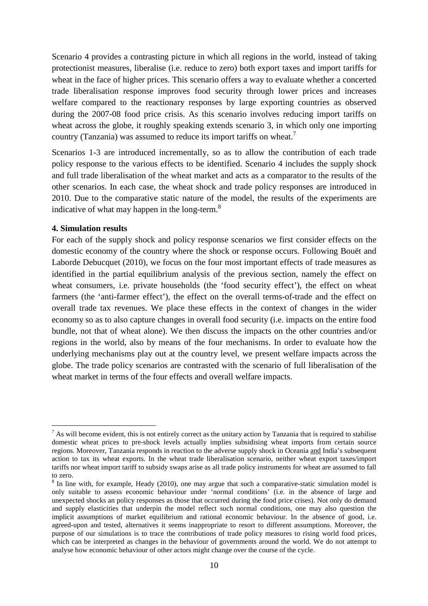Scenario 4 provides a contrasting picture in which all regions in the world, instead of taking protectionist measures, liberalise (i.e. reduce to zero) both export taxes and import tariffs for wheat in the face of higher prices. This scenario offers a way to evaluate whether a concerted trade liberalisation response improves food security through lower prices and increases welfare compared to the reactionary responses by large exporting countries as observed during the 2007-08 food price crisis. As this scenario involves reducing import tariffs on wheat across the globe, it roughly speaking extends scenario 3, in which only one importing country (Tanzania) was assumed to reduce its import tariffs on wheat.<sup>7</sup>

Scenarios 1-3 are introduced incrementally, so as to allow the contribution of each trade policy response to the various effects to be identified. Scenario 4 includes the supply shock and full trade liberalisation of the wheat market and acts as a comparator to the results of the other scenarios. In each case, the wheat shock and trade policy responses are introduced in 2010. Due to the comparative static nature of the model, the results of the experiments are indicative of what may happen in the long-term.<sup>8</sup>

#### **4. Simulation results**

 $\overline{a}$ 

For each of the supply shock and policy response scenarios we first consider effects on the domestic economy of the country where the shock or response occurs. Following Bouët and Laborde Debucquet (2010), we focus on the four most important effects of trade measures as identified in the partial equilibrium analysis of the previous section, namely the effect on wheat consumers, i.e. private households (the 'food security effect'), the effect on wheat farmers (the 'anti-farmer effect'), the effect on the overall terms-of-trade and the effect on overall trade tax revenues. We place these effects in the context of changes in the wider economy so as to also capture changes in overall food security (i.e. impacts on the entire food bundle, not that of wheat alone). We then discuss the impacts on the other countries and/or regions in the world, also by means of the four mechanisms. In order to evaluate how the underlying mechanisms play out at the country level, we present welfare impacts across the globe. The trade policy scenarios are contrasted with the scenario of full liberalisation of the wheat market in terms of the four effects and overall welfare impacts.

 $<sup>7</sup>$  As will become evident, this is not entirely correct as the unitary action by Tanzania that is required to stabilise</sup> domestic wheat prices to pre-shock levels actually implies subsidising wheat imports from certain source regions. Moreover, Tanzania responds in reaction to the adverse supply shock in Oceania and India's subsequent action to tax its wheat exports. In the wheat trade liberalisation scenario, neither wheat export taxes/import tariffs nor wheat import tariff to subsidy swaps arise as all trade policy instruments for wheat are assumed to fall to zero.

<sup>&</sup>lt;sup>8</sup> In line with, for example, Heady (2010), one may argue that such a comparative-static simulation model is only suitable to assess economic behaviour under 'normal conditions' (i.e. in the absence of large and unexpected shocks an policy responses as those that occurred during the food price crises). Not only do demand and supply elasticities that underpin the model reflect such normal conditions, one may also question the implicit assumptions of market equilibrium and rational economic behaviour. In the absence of good, i.e. agreed-upon and tested, alternatives it seems inappropriate to resort to different assumptions. Moreover, the purpose of our simulations is to trace the contributions of trade policy measures to rising world food prices, which can be interpreted as changes in the behaviour of governments around the world. We do not attempt to analyse how economic behaviour of other actors might change over the course of the cycle.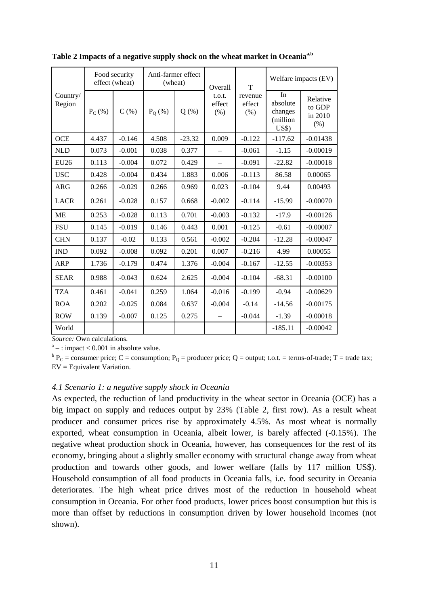| Country/<br>Region | Food security<br>effect (wheat) |          | Anti-farmer effect<br>(wheat) |            | Overall                  | T                         | Welfare impacts (EV)                          |                                       |
|--------------------|---------------------------------|----------|-------------------------------|------------|--------------------------|---------------------------|-----------------------------------------------|---------------------------------------|
|                    | $P_C$ (%)                       | C(%)     | $P_0$ (%)                     | $Q$ $(\%)$ | t.o.t.<br>effect<br>(% ) | revenue<br>effect<br>(% ) | In<br>absolute<br>changes<br>(million<br>US\$ | Relative<br>to GDP<br>in 2010<br>(% ) |
| <b>OCE</b>         | 4.437                           | $-0.146$ | 4.508                         | $-23.32$   | 0.009                    | $-0.122$                  | $-117.62$                                     | $-0.01438$                            |
| <b>NLD</b>         | 0.073                           | $-0.001$ | 0.038                         | 0.377      |                          | $-0.061$                  | $-1.15$                                       | $-0.00019$                            |
| <b>EU26</b>        | 0.113                           | $-0.004$ | 0.072                         | 0.429      |                          | $-0.091$                  | $-22.82$                                      | $-0.00018$                            |
| <b>USC</b>         | 0.428                           | $-0.004$ | 0.434                         | 1.883      | 0.006                    | $-0.113$                  | 86.58                                         | 0.00065                               |
| <b>ARG</b>         | 0.266                           | $-0.029$ | 0.266                         | 0.969      | 0.023                    | $-0.104$                  | 9.44                                          | 0.00493                               |
| <b>LACR</b>        | 0.261                           | $-0.028$ | 0.157                         | 0.668      | $-0.002$                 | $-0.114$                  | $-15.99$                                      | $-0.00070$                            |
| <b>ME</b>          | 0.253                           | $-0.028$ | 0.113                         | 0.701      | $-0.003$                 | $-0.132$                  | $-17.9$                                       | $-0.00126$                            |
| <b>FSU</b>         | 0.145                           | $-0.019$ | 0.146                         | 0.443      | 0.001                    | $-0.125$                  | $-0.61$                                       | $-0.00007$                            |
| <b>CHN</b>         | 0.137                           | $-0.02$  | 0.133                         | 0.561      | $-0.002$                 | $-0.204$                  | $-12.28$                                      | $-0.00047$                            |
| <b>IND</b>         | 0.092                           | $-0.008$ | 0.092                         | 0.201      | 0.007                    | $-0.216$                  | 4.99                                          | 0.00055                               |
| <b>ARP</b>         | 1.736                           | $-0.179$ | 0.474                         | 1.376      | $-0.004$                 | $-0.167$                  | $-12.55$                                      | $-0.00353$                            |
| <b>SEAR</b>        | 0.988                           | $-0.043$ | 0.624                         | 2.625      | $-0.004$                 | $-0.104$                  | $-68.31$                                      | $-0.00100$                            |
| <b>TZA</b>         | 0.461                           | $-0.041$ | 0.259                         | 1.064      | $-0.016$                 | $-0.199$                  | $-0.94$                                       | $-0.00629$                            |
| <b>ROA</b>         | 0.202                           | $-0.025$ | 0.084                         | 0.637      | $-0.004$                 | $-0.14$                   | $-14.56$                                      | $-0.00175$                            |
| <b>ROW</b>         | 0.139                           | $-0.007$ | 0.125                         | 0.275      |                          | $-0.044$                  | $-1.39$                                       | $-0.00018$                            |
| World              |                                 |          |                               |            |                          |                           | $-185.11$                                     | $-0.00042$                            |

**Table 2 Impacts of a negative supply shock on the wheat market in Oceaniaa,b** 

*Source:* Own calculations.

 $a^a$  – : impact < 0.001 in absolute value.

 ${}^{\text{b}}P_{\text{C}}$  = consumer price; C = consumption; P<sub>Q</sub> = producer price; Q = output; t.o.t. = terms-of-trade; T = trade tax; EV = Equivalent Variation.

#### *4.1 Scenario 1: a negative supply shock in Oceania*

As expected, the reduction of land productivity in the wheat sector in Oceania (OCE) has a big impact on supply and reduces output by 23% (Table 2, first row). As a result wheat producer and consumer prices rise by approximately 4.5%. As most wheat is normally exported, wheat consumption in Oceania, albeit lower, is barely affected (-0.15%). The negative wheat production shock in Oceania, however, has consequences for the rest of its economy, bringing about a slightly smaller economy with structural change away from wheat production and towards other goods, and lower welfare (falls by 117 million US\$). Household consumption of all food products in Oceania falls, i.e. food security in Oceania deteriorates. The high wheat price drives most of the reduction in household wheat consumption in Oceania. For other food products, lower prices boost consumption but this is more than offset by reductions in consumption driven by lower household incomes (not shown).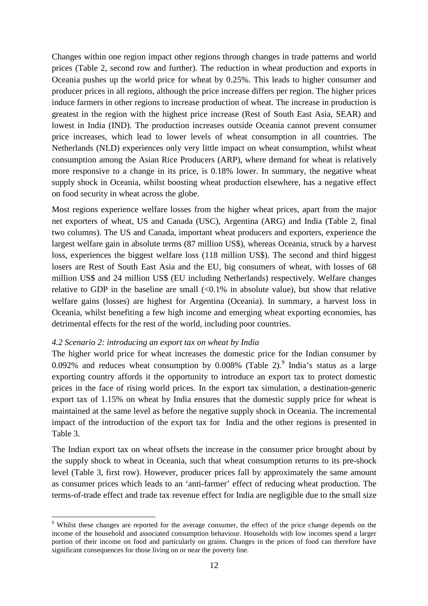Changes within one region impact other regions through changes in trade patterns and world prices (Table 2, second row and further). The reduction in wheat production and exports in Oceania pushes up the world price for wheat by 0.25%. This leads to higher consumer and producer prices in all regions, although the price increase differs per region. The higher prices induce farmers in other regions to increase production of wheat. The increase in production is greatest in the region with the highest price increase (Rest of South East Asia, SEAR) and lowest in India (IND). The production increases outside Oceania cannot prevent consumer price increases, which lead to lower levels of wheat consumption in all countries. The Netherlands (NLD) experiences only very little impact on wheat consumption, whilst wheat consumption among the Asian Rice Producers (ARP), where demand for wheat is relatively more responsive to a change in its price, is 0.18% lower. In summary, the negative wheat supply shock in Oceania, whilst boosting wheat production elsewhere, has a negative effect on food security in wheat across the globe.

Most regions experience welfare losses from the higher wheat prices, apart from the major net exporters of wheat, US and Canada (USC), Argentina (ARG) and India (Table 2, final two columns). The US and Canada, important wheat producers and exporters, experience the largest welfare gain in absolute terms (87 million US\$), whereas Oceania, struck by a harvest loss, experiences the biggest welfare loss (118 million US\$). The second and third biggest losers are Rest of South East Asia and the EU, big consumers of wheat, with losses of 68 million US\$ and 24 million US\$ (EU including Netherlands) respectively. Welfare changes relative to GDP in the baseline are small  $\ll 0.1\%$  in absolute value), but show that relative welfare gains (losses) are highest for Argentina (Oceania). In summary, a harvest loss in Oceania, whilst benefiting a few high income and emerging wheat exporting economies, has detrimental effects for the rest of the world, including poor countries.

#### *4.2 Scenario 2: introducing an export tax on wheat by India*

 $\overline{a}$ 

The higher world price for wheat increases the domestic price for the Indian consumer by 0.092% and reduces wheat consumption by 0.008% (Table 2). India's status as a large exporting country affords it the opportunity to introduce an export tax to protect domestic prices in the face of rising world prices. In the export tax simulation, a destination-generic export tax of 1.15% on wheat by India ensures that the domestic supply price for wheat is maintained at the same level as before the negative supply shock in Oceania. The incremental impact of the introduction of the export tax for India and the other regions is presented in Table 3.

The Indian export tax on wheat offsets the increase in the consumer price brought about by the supply shock to wheat in Oceania, such that wheat consumption returns to its pre-shock level (Table 3, first row). However, producer prices fall by approximately the same amount as consumer prices which leads to an 'anti-farmer' effect of reducing wheat production. The terms-of-trade effect and trade tax revenue effect for India are negligible due to the small size

<sup>&</sup>lt;sup>9</sup> Whilst these changes are reported for the average consumer, the effect of the price change depends on the income of the household and associated consumption behaviour. Households with low incomes spend a larger portion of their income on food and particularly on grains. Changes in the prices of food can therefore have significant consequences for those living on or near the poverty line.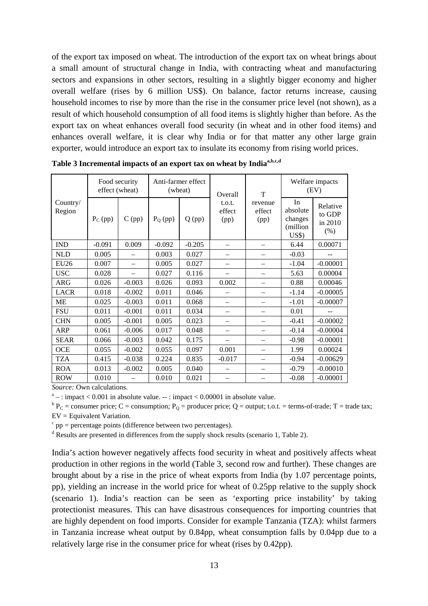of the export tax imposed on wheat. The introduction of the export tax on wheat brings about a small amount of structural change in India, with contracting wheat and manufacturing sectors and expansions in other sectors, resulting in a slightly bigger economy and higher overall welfare (rises by 6 million US\$). On balance, factor returns increase, causing household incomes to rise by more than the rise in the consumer price level (not shown), as a result of which household consumption of all food items is slightly higher than before. As the export tax on wheat enhances overall food security (in wheat and in other food items) and enhances overall welfare, it is clear why India or for that matter any other large grain exporter, would introduce an export tax to insulate its economy from rising world prices.

| Country/<br>Region | Food security<br>effect (wheat) |                          | Anti-farmer effect<br>(wheat) |          | Overall                  | T                         | Welfare impacts<br>(EV)                       |                                       |
|--------------------|---------------------------------|--------------------------|-------------------------------|----------|--------------------------|---------------------------|-----------------------------------------------|---------------------------------------|
|                    | $P_C$ (pp)                      | $C$ (pp)                 | $P_Q$ (pp)                    | $Q$ (pp) | t.o.t.<br>effect<br>(pp) | revenue<br>effect<br>(pp) | In<br>absolute<br>changes<br>(million<br>US\$ | Relative<br>to GDP<br>in 2010<br>(% ) |
| <b>IND</b>         | $-0.091$                        | 0.009                    | $-0.092$                      | $-0.205$ |                          |                           | 6.44                                          | 0.00071                               |
| <b>NLD</b>         | 0.005                           |                          | 0.003                         | 0.027    | $\overline{\phantom{0}}$ |                           | $-0.03$                                       |                                       |
| <b>EU26</b>        | 0.007                           | $\overline{\phantom{0}}$ | 0.005                         | 0.027    | $\overline{\phantom{0}}$ | $\overline{\phantom{0}}$  | $-1.04$                                       | $-0.00001$                            |
| <b>USC</b>         | 0.028                           |                          | 0.027                         | 0.116    |                          |                           | 5.63                                          | 0.00004                               |
| <b>ARG</b>         | 0.026                           | $-0.003$                 | 0.026                         | 0.093    | 0.002                    | $\equiv$                  | 0.88                                          | 0.00046                               |
| <b>LACR</b>        | 0.018                           | $-0.002$                 | 0.011                         | 0.046    |                          |                           | $-1.14$                                       | $-0.00005$                            |
| <b>ME</b>          | 0.025                           | $-0.003$                 | 0.011                         | 0.068    | $\overline{\phantom{0}}$ |                           | $-1.01$                                       | $-0.00007$                            |
| <b>FSU</b>         | 0.011                           | $-0.001$                 | 0.011                         | 0.034    | $\overline{\phantom{0}}$ |                           | 0.01                                          |                                       |
| <b>CHN</b>         | 0.005                           | $-0.001$                 | 0.005                         | 0.023    |                          |                           | $-0.41$                                       | $-0.00002$                            |
| <b>ARP</b>         | 0.061                           | $-0.006$                 | 0.017                         | 0.048    | $\overline{\phantom{0}}$ | $\overline{\phantom{0}}$  | $-0.14$                                       | $-0.00004$                            |
| <b>SEAR</b>        | 0.066                           | $-0.003$                 | 0.042                         | 0.175    | —                        | $\overline{\phantom{0}}$  | $-0.98$                                       | $-0.00001$                            |
| <b>OCE</b>         | 0.055                           | $-0.002$                 | 0.055                         | 0.097    | 0.001                    |                           | 1.99                                          | 0.00024                               |
| <b>TZA</b>         | 0.415                           | $-0.038$                 | 0.224                         | 0.835    | $-0.017$                 | $\overline{\phantom{0}}$  | $-0.94$                                       | $-0.00629$                            |
| <b>ROA</b>         | 0.013                           | $-0.002$                 | 0.005                         | 0.040    |                          |                           | $-0.79$                                       | $-0.00010$                            |
| <b>ROW</b>         | 0.010                           |                          | 0.010                         | 0.021    |                          |                           | $-0.08$                                       | $-0.00001$                            |

**Table 3 Incremental impacts of an export tax on wheat by Indiaa,b,c,d** 

*Source:* Own calculations.

 $a<sub>a</sub>$ : impact < 0.001 in absolute value.  $-$ : impact < 0.00001 in absolute value.

 ${}^{\text{b}}P_{\text{C}}$  = consumer price; C = consumption; P<sub>Q</sub> = producer price; Q = output; t.o.t. = terms-of-trade; T = trade tax; EV = Equivalent Variation.

 $c$  pp = percentage points (difference between two percentages).

<sup>d</sup> Results are presented in differences from the supply shock results (scenario 1, Table 2).

India's action however negatively affects food security in wheat and positively affects wheat production in other regions in the world (Table 3, second row and further). These changes are brought about by a rise in the price of wheat exports from India (by 1.07 percentage points, pp), yielding an increase in the world price for wheat of 0.25pp relative to the supply shock (scenario 1). India's reaction can be seen as 'exporting price instability' by taking protectionist measures. This can have disastrous consequences for importing countries that are highly dependent on food imports. Consider for example Tanzania (TZA): whilst farmers in Tanzania increase wheat output by 0.84pp, wheat consumption falls by 0.04pp due to a relatively large rise in the consumer price for wheat (rises by 0.42pp).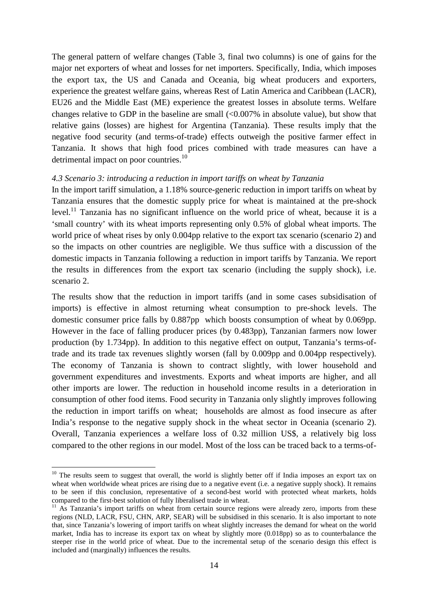The general pattern of welfare changes (Table 3, final two columns) is one of gains for the major net exporters of wheat and losses for net importers. Specifically, India, which imposes the export tax, the US and Canada and Oceania, big wheat producers and exporters, experience the greatest welfare gains, whereas Rest of Latin America and Caribbean (LACR), EU26 and the Middle East (ME) experience the greatest losses in absolute terms. Welfare changes relative to GDP in the baseline are small (<0.007% in absolute value), but show that relative gains (losses) are highest for Argentina (Tanzania). These results imply that the negative food security (and terms-of-trade) effects outweigh the positive farmer effect in Tanzania. It shows that high food prices combined with trade measures can have a detrimental impact on poor countries.<sup>10</sup>

#### *4.3 Scenario 3: introducing a reduction in import tariffs on wheat by Tanzania*

In the import tariff simulation, a 1.18% source-generic reduction in import tariffs on wheat by Tanzania ensures that the domestic supply price for wheat is maintained at the pre-shock level.<sup>11</sup> Tanzania has no significant influence on the world price of wheat, because it is a 'small country' with its wheat imports representing only 0.5% of global wheat imports. The world price of wheat rises by only 0.004pp relative to the export tax scenario (scenario 2) and so the impacts on other countries are negligible. We thus suffice with a discussion of the domestic impacts in Tanzania following a reduction in import tariffs by Tanzania. We report the results in differences from the export tax scenario (including the supply shock), i.e. scenario 2.

The results show that the reduction in import tariffs (and in some cases subsidisation of imports) is effective in almost returning wheat consumption to pre-shock levels. The domestic consumer price falls by 0.887pp which boosts consumption of wheat by 0.069pp. However in the face of falling producer prices (by 0.483pp), Tanzanian farmers now lower production (by 1.734pp). In addition to this negative effect on output, Tanzania's terms-oftrade and its trade tax revenues slightly worsen (fall by 0.009pp and 0.004pp respectively). The economy of Tanzania is shown to contract slightly, with lower household and government expenditures and investments. Exports and wheat imports are higher, and all other imports are lower. The reduction in household income results in a deterioration in consumption of other food items. Food security in Tanzania only slightly improves following the reduction in import tariffs on wheat; households are almost as food insecure as after India's response to the negative supply shock in the wheat sector in Oceania (scenario 2). Overall, Tanzania experiences a welfare loss of 0.32 million US\$, a relatively big loss compared to the other regions in our model. Most of the loss can be traced back to a terms-of-

 $\overline{a}$ 

 $10$  The results seem to suggest that overall, the world is slightly better off if India imposes an export tax on wheat when worldwide wheat prices are rising due to a negative event (i.e. a negative supply shock). It remains to be seen if this conclusion, representative of a second-best world with protected wheat markets, holds compared to the first-best solution of fully liberalised trade in wheat.

 $11$  As Tanzania's import tariffs on wheat from certain source regions were already zero, imports from these regions (NLD, LACR, FSU, CHN, ARP, SEAR) will be subsidised in this scenario. It is also important to note that, since Tanzania's lowering of import tariffs on wheat slightly increases the demand for wheat on the world market, India has to increase its export tax on wheat by slightly more (0.018pp) so as to counterbalance the steeper rise in the world price of wheat. Due to the incremental setup of the scenario design this effect is included and (marginally) influences the results.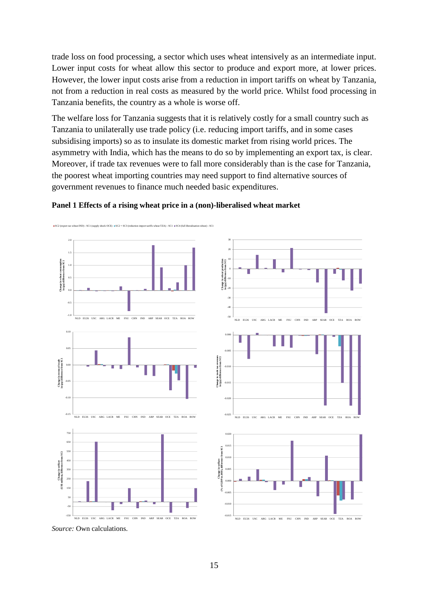trade loss on food processing, a sector which uses wheat intensively as an intermediate input. Lower input costs for wheat allow this sector to produce and export more, at lower prices. However, the lower input costs arise from a reduction in import tariffs on wheat by Tanzania, not from a reduction in real costs as measured by the world price. Whilst food processing in Tanzania benefits, the country as a whole is worse off.

The welfare loss for Tanzania suggests that it is relatively costly for a small country such as Tanzania to unilaterally use trade policy (i.e. reducing import tariffs, and in some cases subsidising imports) so as to insulate its domestic market from rising world prices. The asymmetry with India, which has the means to do so by implementing an export tax, is clear. Moreover, if trade tax revenues were to fall more considerably than is the case for Tanzania, the poorest wheat importing countries may need support to find alternative sources of government revenues to finance much needed basic expenditures.



#### **Panel 1 Effects of a rising wheat price in a (non)-liberalised wheat market**

*Source:* Own calculations.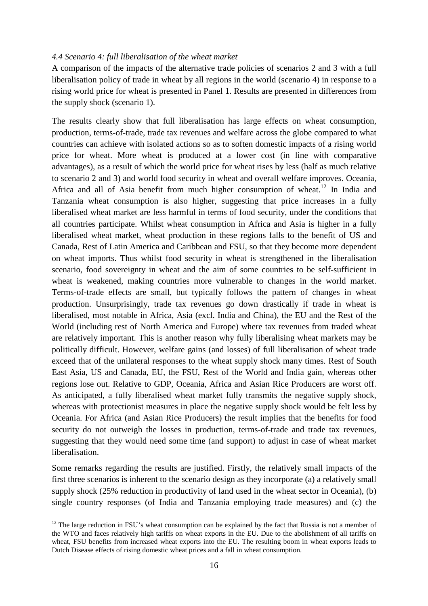#### *4.4 Scenario 4: full liberalisation of the wheat market*

A comparison of the impacts of the alternative trade policies of scenarios 2 and 3 with a full liberalisation policy of trade in wheat by all regions in the world (scenario 4) in response to a rising world price for wheat is presented in Panel 1. Results are presented in differences from the supply shock (scenario 1).

The results clearly show that full liberalisation has large effects on wheat consumption, production, terms-of-trade, trade tax revenues and welfare across the globe compared to what countries can achieve with isolated actions so as to soften domestic impacts of a rising world price for wheat. More wheat is produced at a lower cost (in line with comparative advantages), as a result of which the world price for wheat rises by less (half as much relative to scenario 2 and 3) and world food security in wheat and overall welfare improves. Oceania, Africa and all of Asia benefit from much higher consumption of wheat.<sup>12</sup> In India and Tanzania wheat consumption is also higher, suggesting that price increases in a fully liberalised wheat market are less harmful in terms of food security, under the conditions that all countries participate. Whilst wheat consumption in Africa and Asia is higher in a fully liberalised wheat market, wheat production in these regions falls to the benefit of US and Canada, Rest of Latin America and Caribbean and FSU, so that they become more dependent on wheat imports. Thus whilst food security in wheat is strengthened in the liberalisation scenario, food sovereignty in wheat and the aim of some countries to be self-sufficient in wheat is weakened, making countries more vulnerable to changes in the world market. Terms-of-trade effects are small, but typically follows the pattern of changes in wheat production. Unsurprisingly, trade tax revenues go down drastically if trade in wheat is liberalised, most notable in Africa, Asia (excl. India and China), the EU and the Rest of the World (including rest of North America and Europe) where tax revenues from traded wheat are relatively important. This is another reason why fully liberalising wheat markets may be politically difficult. However, welfare gains (and losses) of full liberalisation of wheat trade exceed that of the unilateral responses to the wheat supply shock many times. Rest of South East Asia, US and Canada, EU, the FSU, Rest of the World and India gain, whereas other regions lose out. Relative to GDP, Oceania, Africa and Asian Rice Producers are worst off. As anticipated, a fully liberalised wheat market fully transmits the negative supply shock, whereas with protectionist measures in place the negative supply shock would be felt less by Oceania. For Africa (and Asian Rice Producers) the result implies that the benefits for food security do not outweigh the losses in production, terms-of-trade and trade tax revenues, suggesting that they would need some time (and support) to adjust in case of wheat market liberalisation.

Some remarks regarding the results are justified. Firstly, the relatively small impacts of the first three scenarios is inherent to the scenario design as they incorporate (a) a relatively small supply shock (25% reduction in productivity of land used in the wheat sector in Oceania), (b) single country responses (of India and Tanzania employing trade measures) and (c) the

 $\overline{a}$ 

 $12$  The large reduction in FSU's wheat consumption can be explained by the fact that Russia is not a member of the WTO and faces relatively high tariffs on wheat exports in the EU. Due to the abolishment of all tariffs on wheat, FSU benefits from increased wheat exports into the EU. The resulting boom in wheat exports leads to Dutch Disease effects of rising domestic wheat prices and a fall in wheat consumption.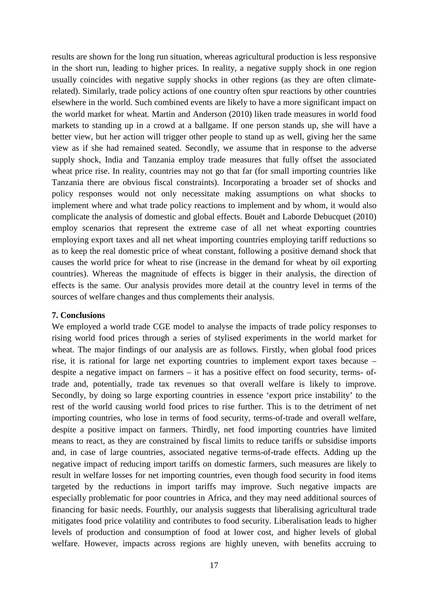results are shown for the long run situation, whereas agricultural production is less responsive in the short run, leading to higher prices. In reality, a negative supply shock in one region usually coincides with negative supply shocks in other regions (as they are often climaterelated). Similarly, trade policy actions of one country often spur reactions by other countries elsewhere in the world. Such combined events are likely to have a more significant impact on the world market for wheat. Martin and Anderson (2010) liken trade measures in world food markets to standing up in a crowd at a ballgame. If one person stands up, she will have a better view, but her action will trigger other people to stand up as well, giving her the same view as if she had remained seated. Secondly, we assume that in response to the adverse supply shock, India and Tanzania employ trade measures that fully offset the associated wheat price rise. In reality, countries may not go that far (for small importing countries like Tanzania there are obvious fiscal constraints). Incorporating a broader set of shocks and policy responses would not only necessitate making assumptions on what shocks to implement where and what trade policy reactions to implement and by whom, it would also complicate the analysis of domestic and global effects. Bouët and Laborde Debucquet (2010) employ scenarios that represent the extreme case of all net wheat exporting countries employing export taxes and all net wheat importing countries employing tariff reductions so as to keep the real domestic price of wheat constant, following a positive demand shock that causes the world price for wheat to rise (increase in the demand for wheat by oil exporting countries). Whereas the magnitude of effects is bigger in their analysis, the direction of effects is the same. Our analysis provides more detail at the country level in terms of the sources of welfare changes and thus complements their analysis.

#### **7. Conclusions**

We employed a world trade CGE model to analyse the impacts of trade policy responses to rising world food prices through a series of stylised experiments in the world market for wheat. The major findings of our analysis are as follows. Firstly, when global food prices rise, it is rational for large net exporting countries to implement export taxes because – despite a negative impact on farmers – it has a positive effect on food security, terms- oftrade and, potentially, trade tax revenues so that overall welfare is likely to improve. Secondly, by doing so large exporting countries in essence 'export price instability' to the rest of the world causing world food prices to rise further. This is to the detriment of net importing countries, who lose in terms of food security, terms-of-trade and overall welfare, despite a positive impact on farmers. Thirdly, net food importing countries have limited means to react, as they are constrained by fiscal limits to reduce tariffs or subsidise imports and, in case of large countries, associated negative terms-of-trade effects. Adding up the negative impact of reducing import tariffs on domestic farmers, such measures are likely to result in welfare losses for net importing countries, even though food security in food items targeted by the reductions in import tariffs may improve. Such negative impacts are especially problematic for poor countries in Africa, and they may need additional sources of financing for basic needs. Fourthly, our analysis suggests that liberalising agricultural trade mitigates food price volatility and contributes to food security. Liberalisation leads to higher levels of production and consumption of food at lower cost, and higher levels of global welfare. However, impacts across regions are highly uneven, with benefits accruing to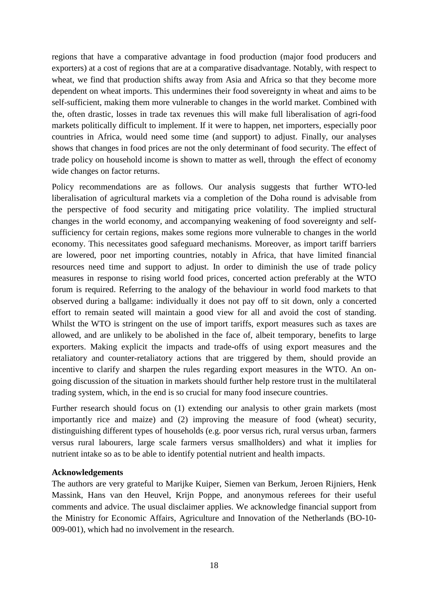regions that have a comparative advantage in food production (major food producers and exporters) at a cost of regions that are at a comparative disadvantage. Notably, with respect to wheat, we find that production shifts away from Asia and Africa so that they become more dependent on wheat imports. This undermines their food sovereignty in wheat and aims to be self-sufficient, making them more vulnerable to changes in the world market. Combined with the, often drastic, losses in trade tax revenues this will make full liberalisation of agri-food markets politically difficult to implement. If it were to happen, net importers, especially poor countries in Africa, would need some time (and support) to adjust. Finally, our analyses shows that changes in food prices are not the only determinant of food security. The effect of trade policy on household income is shown to matter as well, through the effect of economy wide changes on factor returns.

Policy recommendations are as follows. Our analysis suggests that further WTO-led liberalisation of agricultural markets via a completion of the Doha round is advisable from the perspective of food security and mitigating price volatility. The implied structural changes in the world economy, and accompanying weakening of food sovereignty and selfsufficiency for certain regions, makes some regions more vulnerable to changes in the world economy. This necessitates good safeguard mechanisms. Moreover, as import tariff barriers are lowered, poor net importing countries, notably in Africa, that have limited financial resources need time and support to adjust. In order to diminish the use of trade policy measures in response to rising world food prices, concerted action preferably at the WTO forum is required. Referring to the analogy of the behaviour in world food markets to that observed during a ballgame: individually it does not pay off to sit down, only a concerted effort to remain seated will maintain a good view for all and avoid the cost of standing. Whilst the WTO is stringent on the use of import tariffs, export measures such as taxes are allowed, and are unlikely to be abolished in the face of, albeit temporary, benefits to large exporters. Making explicit the impacts and trade-offs of using export measures and the retaliatory and counter-retaliatory actions that are triggered by them, should provide an incentive to clarify and sharpen the rules regarding export measures in the WTO. An ongoing discussion of the situation in markets should further help restore trust in the multilateral trading system, which, in the end is so crucial for many food insecure countries.

Further research should focus on (1) extending our analysis to other grain markets (most importantly rice and maize) and (2) improving the measure of food (wheat) security, distinguishing different types of households (e.g. poor versus rich, rural versus urban, farmers versus rural labourers, large scale farmers versus smallholders) and what it implies for nutrient intake so as to be able to identify potential nutrient and health impacts.

#### **Acknowledgements**

The authors are very grateful to Marijke Kuiper, Siemen van Berkum, Jeroen Rijniers, Henk Massink, Hans van den Heuvel, Krijn Poppe, and anonymous referees for their useful comments and advice. The usual disclaimer applies. We acknowledge financial support from the Ministry for Economic Affairs, Agriculture and Innovation of the Netherlands (BO-10- 009-001), which had no involvement in the research.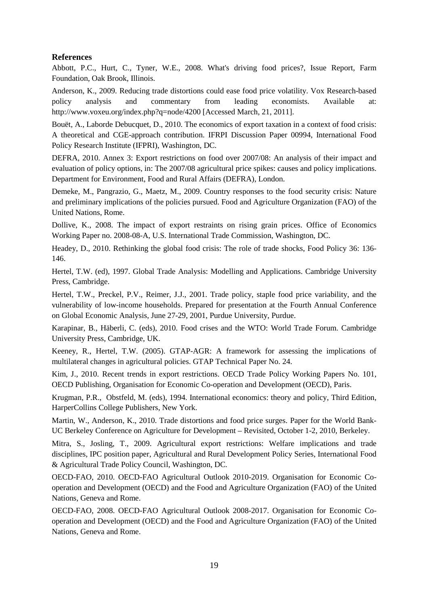### **References**

Abbott, P.C., Hurt, C., Tyner, W.E., 2008. What's driving food prices?, Issue Report, Farm Foundation, Oak Brook, Illinois.

Anderson, K., 2009. Reducing trade distortions could ease food price volatility. Vox Research-based policy analysis and commentary from leading economists. Available at: http://www.voxeu.org/index.php?q=node/4200 [Accessed March, 21, 2011].

Bouët, A., Laborde Debucquet, D., 2010. The economics of export taxation in a context of food crisis: A theoretical and CGE-approach contribution. IFRPI Discussion Paper 00994, International Food Policy Research Institute (IFPRI), Washington, DC.

DEFRA, 2010. Annex 3: Export restrictions on food over 2007/08: An analysis of their impact and evaluation of policy options, in: The 2007/08 agricultural price spikes: causes and policy implications. Department for Environment, Food and Rural Affairs (DEFRA), London.

Demeke, M., Pangrazio, G., Maetz, M., 2009. Country responses to the food security crisis: Nature and preliminary implications of the policies pursued. Food and Agriculture Organization (FAO) of the United Nations, Rome.

Dollive, K., 2008. The impact of export restraints on rising grain prices. Office of Economics Working Paper no. 2008-08-A, U.S. International Trade Commission, Washington, DC.

Headey, D., 2010. Rethinking the global food crisis: The role of trade shocks, Food Policy 36: 136- 146.

Hertel, T.W. (ed), 1997. Global Trade Analysis: Modelling and Applications. Cambridge University Press, Cambridge.

Hertel, T.W., Preckel, P.V., Reimer, J.J., 2001. Trade policy, staple food price variability, and the vulnerability of low-income households. Prepared for presentation at the Fourth Annual Conference on Global Economic Analysis, June 27-29, 2001, Purdue University, Purdue.

Karapinar, B., Häberli, C. (eds), 2010. Food crises and the WTO: World Trade Forum. Cambridge University Press, Cambridge, UK.

Keeney, R., Hertel, T.W. (2005). GTAP-AGR: A framework for assessing the implications of multilateral changes in agricultural policies. GTAP Technical Paper No. 24.

Kim, J., 2010. Recent trends in export restrictions. OECD Trade Policy Working Papers No. 101, OECD Publishing, Organisation for Economic Co-operation and Development (OECD), Paris.

Krugman, P.R., Obstfeld, M. (eds), 1994. International economics: theory and policy, Third Edition, HarperCollins College Publishers, New York.

Martin, W., Anderson, K., 2010. Trade distortions and food price surges. Paper for the World Bank-UC Berkeley Conference on Agriculture for Development – Revisited, October 1-2, 2010, Berkeley.

Mitra, S., Josling, T., 2009. Agricultural export restrictions: Welfare implications and trade disciplines, IPC position paper, Agricultural and Rural Development Policy Series, International Food & Agricultural Trade Policy Council, Washington, DC.

OECD-FAO, 2010. OECD-FAO Agricultural Outlook 2010-2019. Organisation for Economic Cooperation and Development (OECD) and the Food and Agriculture Organization (FAO) of the United Nations, Geneva and Rome.

OECD-FAO, 2008. OECD-FAO Agricultural Outlook 2008-2017. Organisation for Economic Cooperation and Development (OECD) and the Food and Agriculture Organization (FAO) of the United Nations, Geneva and Rome.